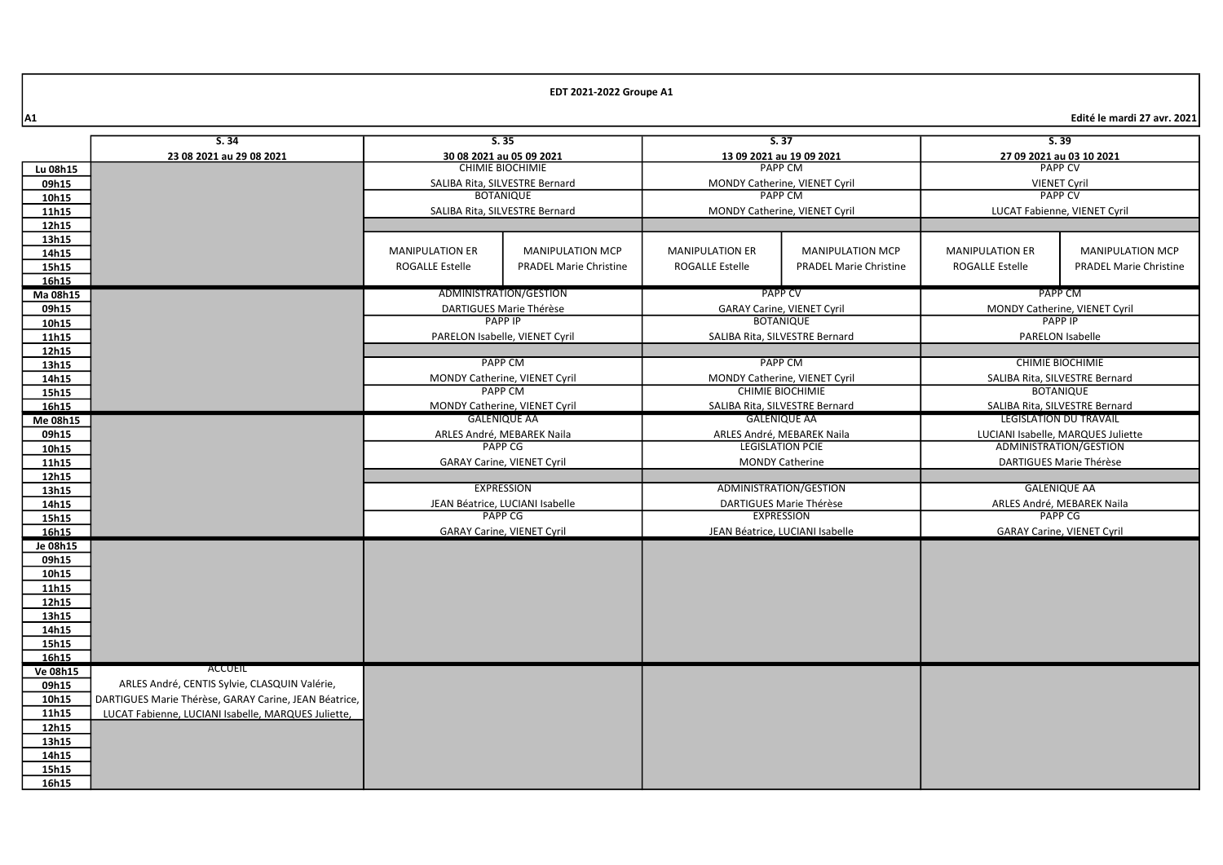|                 | 5.35<br>S.34                                          |                                                 | 5.37                            |                                                          | 5.39                              |                                                    |                                   |  |
|-----------------|-------------------------------------------------------|-------------------------------------------------|---------------------------------|----------------------------------------------------------|-----------------------------------|----------------------------------------------------|-----------------------------------|--|
|                 | 23 08 2021 au 29 08 2021                              | 30 08 2021 au 05 09 2021                        |                                 | 13 09 2021 au 19 09 2021                                 |                                   | 27 09 2021 au 03 10 2021                           |                                   |  |
| Lu 08h15        |                                                       | <b>CHIMIE BIOCHIMIE</b>                         |                                 | <b>PAPP CM</b>                                           |                                   | <b>PAPP CV</b>                                     |                                   |  |
| 09h15           |                                                       | SALIBA Rita, SILVESTRE Bernard                  |                                 | MONDY Catherine, VIENET Cyril                            |                                   | <b>VIENET Cyril</b>                                |                                   |  |
| 10h15           |                                                       | <b>BOTANIQUE</b>                                |                                 |                                                          | <b>PAPP CM</b>                    |                                                    | <b>PAPP CV</b>                    |  |
| 11h15           |                                                       |                                                 | SALIBA Rita, SILVESTRE Bernard  |                                                          | MONDY Catherine, VIENET Cyril     |                                                    | LUCAT Fabienne, VIENET Cyril      |  |
| 12h15           |                                                       |                                                 |                                 |                                                          |                                   |                                                    |                                   |  |
| 13h15           |                                                       |                                                 |                                 |                                                          |                                   |                                                    |                                   |  |
| 14h15           |                                                       | <b>MANIPULATION ER</b>                          | <b>MANIPULATION MCP</b>         | <b>MANIPULATION ER</b>                                   | <b>MANIPULATION MCP</b>           | <b>MANIPULATION ER</b>                             | <b>MANIPULATION MCP</b>           |  |
| 15h15           |                                                       | <b>ROGALLE Estelle</b>                          | <b>PRADEL Marie Christine</b>   | <b>ROGALLE Estelle</b>                                   | <b>PRADEL Marie Christine</b>     | <b>ROGALLE Estelle</b>                             | <b>PRADEL Marie Christine</b>     |  |
| 16h15           |                                                       |                                                 |                                 |                                                          |                                   |                                                    |                                   |  |
| Ma 08h15        |                                                       |                                                 | ADMINISTRATION/GESTION          | <b>PAPP CV</b>                                           |                                   | PAPP CM                                            |                                   |  |
| 09h15           |                                                       |                                                 | DARTIGUES Marie Thérèse         |                                                          | <b>GARAY Carine, VIENET Cyril</b> |                                                    | MONDY Catherine, VIENET Cyril     |  |
| 10h15           |                                                       |                                                 | <b>PAPP IP</b>                  |                                                          | <b>BOTANIQUE</b>                  |                                                    | <b>PAPP IP</b>                    |  |
| 11h15           |                                                       |                                                 | PARELON Isabelle, VIENET Cyril  |                                                          | SALIBA Rita, SILVESTRE Bernard    |                                                    | <b>PARELON Isabelle</b>           |  |
| 12h15           |                                                       | <b>PAPP CM</b>                                  |                                 | PAPP CM                                                  |                                   | <b>CHIMIE BIOCHIMIE</b>                            |                                   |  |
| 13h15<br>14h15  |                                                       |                                                 |                                 |                                                          |                                   |                                                    |                                   |  |
| 15h15           |                                                       | MONDY Catherine, VIENET Cyril<br><b>PAPP CM</b> |                                 | MONDY Catherine, VIENET Cyril<br><b>CHIMIE BIOCHIMIE</b> |                                   | SALIBA Rita, SILVESTRE Bernard<br><b>BOTANIQUE</b> |                                   |  |
| 16h15           |                                                       | MONDY Catherine, VIENET Cyril                   |                                 | SALIBA Rita, SILVESTRE Bernard                           |                                   | SALIBA Rita, SILVESTRE Bernard                     |                                   |  |
| Me 08h15        |                                                       | <b>GALENIQUE AA</b>                             |                                 | <b>GALENIQUE AA</b>                                      |                                   | <b>LEGISLATION DU TRAVAIL</b>                      |                                   |  |
| 09h15           |                                                       | ARLES André, MEBAREK Naila                      |                                 |                                                          | ARLES André, MEBAREK Naila        | LUCIANI Isabelle, MARQUES Juliette                 |                                   |  |
| 10h15           |                                                       | PAPP CG                                         |                                 |                                                          | <b>LEGISLATION PCIE</b>           | ADMINISTRATION/GESTION                             |                                   |  |
| 11h15           |                                                       | <b>GARAY Carine, VIENET Cyril</b>               |                                 |                                                          | <b>MONDY Catherine</b>            |                                                    | DARTIGUES Marie Thérèse           |  |
| 12h15           |                                                       |                                                 |                                 |                                                          |                                   |                                                    |                                   |  |
| 13h15           |                                                       |                                                 | <b>EXPRESSION</b>               |                                                          | ADMINISTRATION/GESTION            |                                                    | <b>GALENIQUE AA</b>               |  |
| 14h15           |                                                       |                                                 | JEAN Béatrice, LUCIANI Isabelle |                                                          | DARTIGUES Marie Thérèse           | ARLES André, MEBAREK Naila                         |                                   |  |
| 15h15           |                                                       |                                                 | <b>PAPP CG</b>                  | <b>EXPRESSION</b>                                        |                                   |                                                    | <b>PAPP CG</b>                    |  |
| 16h15           |                                                       | <b>GARAY Carine, VIENET Cyril</b>               |                                 |                                                          | JEAN Béatrice, LUCIANI Isabelle   |                                                    | <b>GARAY Carine, VIENET Cyril</b> |  |
| Je 08h15        |                                                       |                                                 |                                 |                                                          |                                   |                                                    |                                   |  |
| 09h15           |                                                       |                                                 |                                 |                                                          |                                   |                                                    |                                   |  |
| 10h15           |                                                       |                                                 |                                 |                                                          |                                   |                                                    |                                   |  |
| 11h15           |                                                       |                                                 |                                 |                                                          |                                   |                                                    |                                   |  |
| 12h15           |                                                       |                                                 |                                 |                                                          |                                   |                                                    |                                   |  |
| 13h15           |                                                       |                                                 |                                 |                                                          |                                   |                                                    |                                   |  |
| 14h15<br>15h15  |                                                       |                                                 |                                 |                                                          |                                   |                                                    |                                   |  |
| 16h15           |                                                       |                                                 |                                 |                                                          |                                   |                                                    |                                   |  |
| <b>Ve 08h15</b> | ACCUEIL                                               |                                                 |                                 |                                                          |                                   |                                                    |                                   |  |
| 09h15           | ARLES André, CENTIS Sylvie, CLASQUIN Valérie,         |                                                 |                                 |                                                          |                                   |                                                    |                                   |  |
| 10h15           | DARTIGUES Marie Thérèse, GARAY Carine, JEAN Béatrice, |                                                 |                                 |                                                          |                                   |                                                    |                                   |  |
| 11h15           | LUCAT Fabienne, LUCIANI Isabelle, MARQUES Juliette,   |                                                 |                                 |                                                          |                                   |                                                    |                                   |  |
| 12h15           |                                                       |                                                 |                                 |                                                          |                                   |                                                    |                                   |  |
| 13h15           |                                                       |                                                 |                                 |                                                          |                                   |                                                    |                                   |  |
| 14h15           |                                                       |                                                 |                                 |                                                          |                                   |                                                    |                                   |  |
| 15h15           |                                                       |                                                 |                                 |                                                          |                                   |                                                    |                                   |  |
| 16h15           |                                                       |                                                 |                                 |                                                          |                                   |                                                    |                                   |  |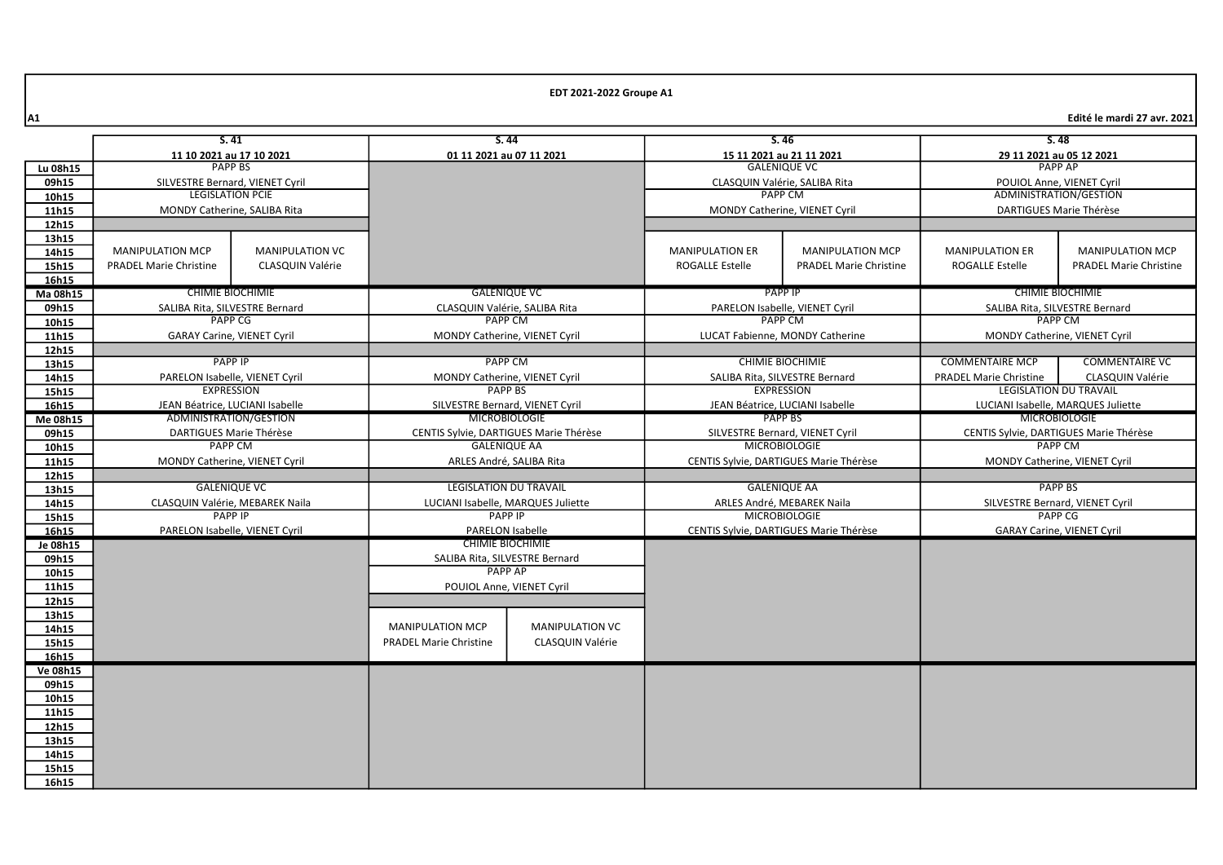|                | S.41                                              |                                 | S.44                                                 |                               | S.46                                                           |                                        | S.48                                                     |                                   |  |
|----------------|---------------------------------------------------|---------------------------------|------------------------------------------------------|-------------------------------|----------------------------------------------------------------|----------------------------------------|----------------------------------------------------------|-----------------------------------|--|
|                | 11 10 2021 au 17 10 2021                          |                                 |                                                      | 01 11 2021 au 07 11 2021      |                                                                | 15 11 2021 au 21 11 2021               |                                                          | 29 11 2021 au 05 12 2021          |  |
| Lu 08h15       | <b>PAPP BS</b>                                    |                                 |                                                      |                               | <b>GALENIQUE VC</b>                                            |                                        | <b>PAPP AP</b>                                           |                                   |  |
| 09h15          | SILVESTRE Bernard, VIENET Cyril                   |                                 |                                                      |                               | CLASQUIN Valérie, SALIBA Rita                                  |                                        | POUIOL Anne. VIENET Cyril                                |                                   |  |
| 10h15          | <b>LEGISLATION PCIE</b>                           |                                 |                                                      |                               | <b>PAPP CM</b>                                                 |                                        | ADMINISTRATION/GESTION                                   |                                   |  |
| 11h15          | MONDY Catherine, SALIBA Rita                      |                                 |                                                      |                               | MONDY Catherine, VIENET Cyril                                  |                                        | DARTIGUES Marie Thérèse                                  |                                   |  |
| 12h15          |                                                   |                                 |                                                      |                               |                                                                |                                        |                                                          |                                   |  |
| 13h15          |                                                   |                                 |                                                      |                               |                                                                |                                        |                                                          |                                   |  |
| 14h15          | <b>MANIPULATION MCP</b>                           | <b>MANIPULATION VC</b>          |                                                      |                               | <b>MANIPULATION ER</b>                                         | <b>MANIPULATION MCP</b>                | <b>MANIPULATION ER</b>                                   | <b>MANIPULATION MCP</b>           |  |
| 15h15          | <b>PRADEL Marie Christine</b>                     | CLASQUIN Valérie                |                                                      |                               | ROGALLE Estelle                                                | <b>PRADEL Marie Christine</b>          | <b>ROGALLE Estelle</b>                                   | <b>PRADEL Marie Christine</b>     |  |
| 16h15          |                                                   |                                 |                                                      |                               |                                                                |                                        |                                                          |                                   |  |
| Ma 08h15       |                                                   | <b>CHIMIE BIOCHIMIE</b>         | <b>GALENIQUE VC</b>                                  |                               | <b>PAPP IP</b>                                                 |                                        |                                                          | <b>CHIMIE BIOCHIMIE</b>           |  |
| 09h15          | SALIBA Rita, SILVESTRE Bernard                    |                                 | CLASQUIN Valérie, SALIBA Rita                        |                               | PARELON Isabelle, VIENET Cyril                                 |                                        |                                                          | SALIBA Rita, SILVESTRE Bernard    |  |
| 10h15          |                                                   | PAPP <sub>CG</sub>              | <b>PAPP CM</b>                                       |                               | <b>PAPP CM</b>                                                 |                                        |                                                          | PAPP <sub>CM</sub>                |  |
| 11h15          | <b>GARAY Carine, VIENET Cyril</b>                 |                                 | MONDY Catherine, VIENET Cyril                        |                               |                                                                | LUCAT Fabienne, MONDY Catherine        |                                                          | MONDY Catherine, VIENET Cyril     |  |
| 12h15          |                                                   |                                 |                                                      |                               |                                                                |                                        |                                                          |                                   |  |
| 13h15          |                                                   | <b>PAPP IP</b>                  | <b>PAPP CM</b>                                       |                               | <b>CHIMIE BIOCHIMIE</b>                                        |                                        | <b>COMMENTAIRE MCP</b>                                   | <b>COMMENTAIRE VC</b>             |  |
| 14h15          | PARELON Isabelle, VIENET Cyril                    |                                 | MONDY Catherine, VIENET Cyril                        |                               | SALIBA Rita, SILVESTRE Bernard                                 |                                        | <b>PRADEL Marie Christine</b>                            | <b>CLASQUIN Valérie</b>           |  |
| 15h15          |                                                   | <b>EXPRESSION</b>               | <b>PAPP BS</b>                                       |                               | <b>EXPRESSION</b>                                              |                                        | <b>LEGISLATION DU TRAVAIL</b>                            |                                   |  |
| 16h15          |                                                   | JEAN Béatrice, LUCIANI Isabelle | SILVESTRE Bernard, VIENET Cyril                      |                               | JEAN Béatrice, LUCIANI Isabelle                                |                                        | LUCIANI Isabelle, MARQUES Juliette                       |                                   |  |
| Me 08h15       |                                                   | ADMINISTRATION/GESTION          | <b>MICROBIOLOGIE</b>                                 |                               | PAPP BS                                                        |                                        | <b>MICROBIOLOGIE</b>                                     |                                   |  |
| 09h15          | DARTIGUES Marie Thérèse                           |                                 | CENTIS Sylvie, DARTIGUES Marie Thérèse               |                               | SILVESTRE Bernard, VIENET Cyril                                |                                        | CENTIS Sylvie, DARTIGUES Marie Thérèse<br><b>PAPP CM</b> |                                   |  |
| 10h15          | <b>PAPP CM</b>                                    |                                 | <b>GALENIQUE AA</b>                                  |                               |                                                                | <b>MICROBIOLOGIE</b>                   |                                                          |                                   |  |
| 11h15          | MONDY Catherine, VIENET Cyril                     |                                 | ARLES André, SALIBA Rita                             |                               |                                                                | CENTIS Sylvie, DARTIGUES Marie Thérèse |                                                          | MONDY Catherine, VIENET Cyril     |  |
| 12h15          |                                                   |                                 |                                                      | <b>LEGISLATION DU TRAVAIL</b> |                                                                |                                        |                                                          |                                   |  |
| 13h15          | <b>GALENIQUE VC</b>                               |                                 |                                                      |                               |                                                                | <b>GALENIQUE AA</b>                    |                                                          | <b>PAPP BS</b>                    |  |
| 14h15          | CLASQUIN Valérie, MEBAREK Naila<br><b>PAPP IP</b> |                                 | LUCIANI Isabelle, MARQUES Juliette<br><b>PAPP IP</b> |                               |                                                                | ARLES André, MEBAREK Naila             |                                                          | SILVESTRE Bernard, VIENET Cyril   |  |
| 15h15          |                                                   |                                 |                                                      |                               | <b>MICROBIOLOGIE</b><br>CENTIS Sylvie, DARTIGUES Marie Thérèse |                                        |                                                          | <b>PAPP CG</b>                    |  |
| 16h15          | PARELON Isabelle, VIENET Cyril                    |                                 | <b>PARELON Isabelle</b>                              |                               |                                                                |                                        |                                                          | <b>GARAY Carine, VIENET Cyril</b> |  |
| Je 08h15       |                                                   |                                 | <b>CHIMIE BIOCHIMIE</b>                              |                               |                                                                |                                        |                                                          |                                   |  |
| 09h15          |                                                   |                                 | SALIBA Rita, SILVESTRE Bernard<br><b>PAPP AP</b>     |                               |                                                                |                                        |                                                          |                                   |  |
| 10h15          |                                                   |                                 |                                                      |                               |                                                                |                                        |                                                          |                                   |  |
| 11h15          |                                                   |                                 | <b>POUIOL Anne. VIENET Cyril</b>                     |                               |                                                                |                                        |                                                          |                                   |  |
| 12h15          |                                                   |                                 |                                                      |                               |                                                                |                                        |                                                          |                                   |  |
| 13h15<br>14h15 |                                                   |                                 | <b>MANIPULATION MCP</b>                              | <b>MANIPULATION VC</b>        |                                                                |                                        |                                                          |                                   |  |
| 15h15          |                                                   |                                 | <b>PRADEL Marie Christine</b>                        | CLASQUIN Valérie              |                                                                |                                        |                                                          |                                   |  |
| 16h15          |                                                   |                                 |                                                      |                               |                                                                |                                        |                                                          |                                   |  |
| Ve 08h15       |                                                   |                                 |                                                      |                               |                                                                |                                        |                                                          |                                   |  |
| 09h15          |                                                   |                                 |                                                      |                               |                                                                |                                        |                                                          |                                   |  |
| 10h15          |                                                   |                                 |                                                      |                               |                                                                |                                        |                                                          |                                   |  |
| 11h15          |                                                   |                                 |                                                      |                               |                                                                |                                        |                                                          |                                   |  |
| 12h15          |                                                   |                                 |                                                      |                               |                                                                |                                        |                                                          |                                   |  |
| 13h15          |                                                   |                                 |                                                      |                               |                                                                |                                        |                                                          |                                   |  |
| 14h15          |                                                   |                                 |                                                      |                               |                                                                |                                        |                                                          |                                   |  |
| 15h15          |                                                   |                                 |                                                      |                               |                                                                |                                        |                                                          |                                   |  |
| 16h15          |                                                   |                                 |                                                      |                               |                                                                |                                        |                                                          |                                   |  |
|                |                                                   |                                 |                                                      |                               |                                                                |                                        |                                                          |                                   |  |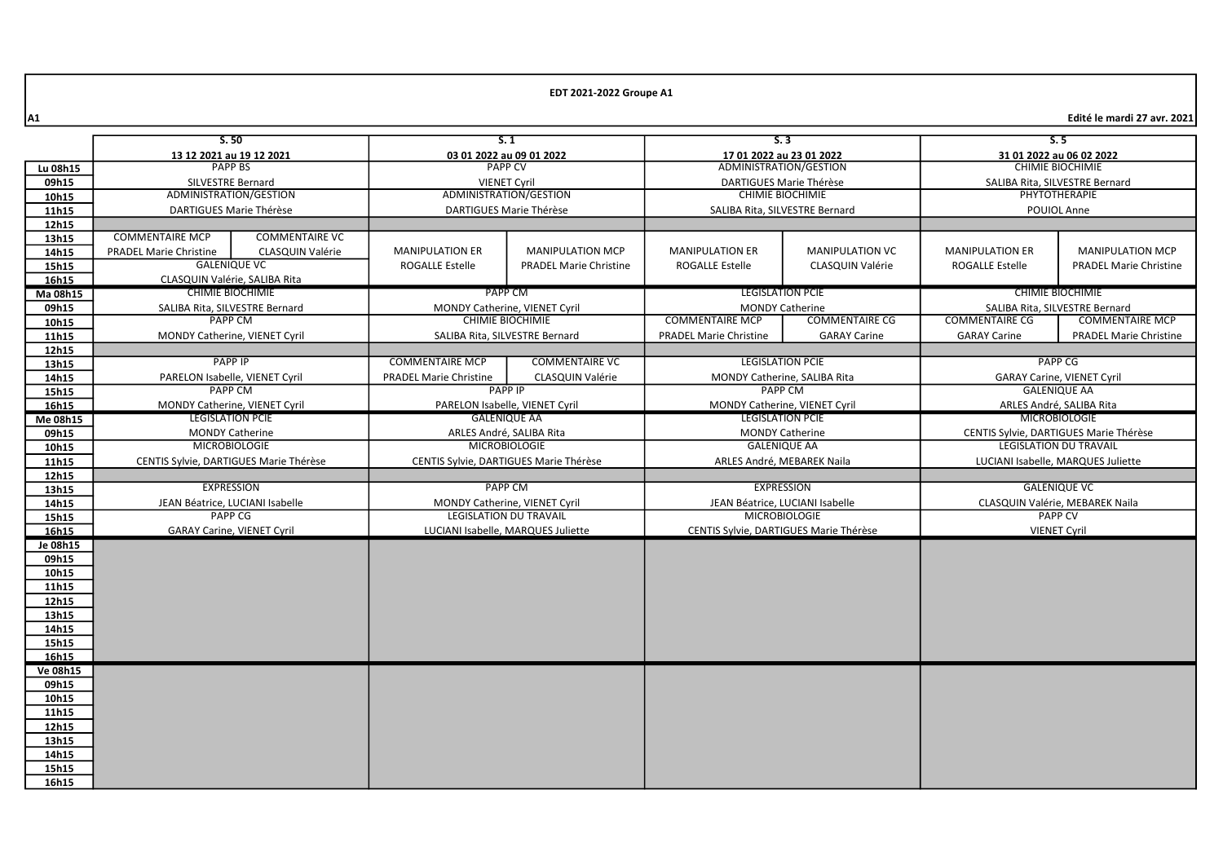|          | S.50                                   |                                 | S.1                                                                        |                                | S.3                                                      |                         | 5.5                                                                     |                                    |
|----------|----------------------------------------|---------------------------------|----------------------------------------------------------------------------|--------------------------------|----------------------------------------------------------|-------------------------|-------------------------------------------------------------------------|------------------------------------|
|          | 13 12 2021 au 19 12 2021               |                                 | 03 01 2022 au 09 01 2022                                                   |                                | 17 01 2022 au 23 01 2022                                 |                         | 31 01 2022 au 06 02 2022                                                |                                    |
| Lu 08h15 | <b>PAPP BS</b>                         |                                 | <b>PAPP CV</b>                                                             |                                | ADMINISTRATION/GESTION                                   |                         | <b>CHIMIE BIOCHIMIE</b>                                                 |                                    |
| 09h15    | <b>SILVESTRE Bernard</b>               |                                 | <b>VIENET Cvril</b>                                                        |                                | DARTIGUES Marie Thérèse                                  |                         | SALIBA Rita, SILVESTRE Bernard                                          |                                    |
| 10h15    |                                        | ADMINISTRATION/GESTION          | ADMINISTRATION/GESTION                                                     |                                | <b>CHIMIE BIOCHIMIE</b>                                  |                         | PHYTOTHERAPIE                                                           |                                    |
| 11h15    | DARTIGUES Marie Thérèse                |                                 | DARTIGUES Marie Thérèse                                                    |                                | SALIBA Rita, SILVESTRE Bernard                           |                         | POUIOL Anne                                                             |                                    |
| 12h15    |                                        |                                 |                                                                            |                                |                                                          |                         |                                                                         |                                    |
| 13h15    | <b>COMMENTAIRE MCP</b>                 | <b>COMMENTAIRE VC</b>           |                                                                            |                                |                                                          |                         |                                                                         |                                    |
| 14h15    | <b>PRADEL Marie Christine</b>          | CLASQUIN Valérie                | <b>MANIPULATION ER</b>                                                     | <b>MANIPULATION MCP</b>        | <b>MANIPULATION ER</b>                                   | <b>MANIPULATION VC</b>  | <b>MANIPULATION ER</b>                                                  | <b>MANIPULATION MCP</b>            |
| 15h15    |                                        | <b>GALENIQUE VC</b>             | <b>ROGALLE Estelle</b>                                                     | <b>PRADEL Marie Christine</b>  | <b>ROGALLE Estelle</b>                                   | <b>CLASQUIN Valérie</b> | <b>ROGALLE Estelle</b>                                                  | <b>PRADEL Marie Christine</b>      |
| 16h15    |                                        | CLASQUIN Valérie, SALIBA Rita   |                                                                            |                                |                                                          |                         |                                                                         |                                    |
| Ma 08h15 |                                        | <b>CHIMIE BIOCHIMIE</b>         | PAPP CM                                                                    |                                | <b>LEGISLATION PCIE</b>                                  |                         |                                                                         | <b>CHIMIE BIOCHIMIE</b>            |
| 09h15    |                                        | SALIBA Rita, SILVESTRE Bernard  | MONDY Catherine, VIENET Cyril                                              |                                | <b>MONDY Catherine</b>                                   |                         | SALIBA Rita, SILVESTRE Bernard                                          |                                    |
| 10h15    |                                        | <b>PAPP CM</b>                  |                                                                            | <b>CHIMIE BIOCHIMIE</b>        | <b>COMMENTAIRE MCP</b>                                   | <b>COMMENTAIRE CG</b>   | <b>COMMENTAIRE CG</b>                                                   | <b>COMMENTAIRE MCP</b>             |
| 11h15    | MONDY Catherine, VIENET Cyril          |                                 |                                                                            | SALIBA Rita, SILVESTRE Bernard | <b>PRADEL Marie Christine</b>                            | <b>GARAY Carine</b>     | <b>GARAY Carine</b>                                                     | <b>PRADEL Marie Christine</b>      |
| 12h15    |                                        |                                 |                                                                            |                                |                                                          |                         |                                                                         |                                    |
|          |                                        | <b>PAPP IP</b>                  | <b>COMMENTAIRE MCP</b>                                                     | <b>COMMENTAIRE VC</b>          | <b>LEGISLATION PCIE</b>                                  |                         | <b>PAPP CG</b>                                                          |                                    |
| 13h15    |                                        | PARELON Isabelle, VIENET Cyril  |                                                                            |                                |                                                          |                         | <b>GARAY Carine, VIENET Cyril</b>                                       |                                    |
| 14h15    |                                        | <b>PAPP CM</b>                  | <b>PRADEL Marie Christine</b><br><b>CLASQUIN Valérie</b><br><b>PAPP IP</b> |                                | MONDY Catherine, SALIBA Rita<br><b>PAPP CM</b>           |                         | <b>GALENIQUE AA</b>                                                     |                                    |
| 15h15    |                                        |                                 |                                                                            |                                |                                                          |                         | ARLES André, SALIBA Rita                                                |                                    |
| 16h15    | MONDY Catherine, VIENET Cyril          |                                 | PARELON Isabelle, VIENET Cyril                                             |                                | MONDY Catherine, VIENET Cyril<br><b>LEGISLATION PCIE</b> |                         | <b>MICROBIOLOGIE</b>                                                    |                                    |
| Me 08h15 | <b>LEGISLATION PCIE</b>                |                                 | <b>GALENIQUE AA</b>                                                        |                                |                                                          |                         |                                                                         |                                    |
| 09h15    | <b>MONDY Catherine</b>                 |                                 | ARLES André, SALIBA Rita                                                   |                                | <b>MONDY Catherine</b><br><b>GALENIQUE AA</b>            |                         | CENTIS Sylvie, DARTIGUES Marie Thérèse<br><b>LEGISLATION DU TRAVAIL</b> |                                    |
| 10h15    | <b>MICROBIOLOGIE</b>                   |                                 | <b>MICROBIOLOGIE</b>                                                       |                                |                                                          |                         |                                                                         |                                    |
| 11h15    | CENTIS Sylvie, DARTIGUES Marie Thérèse |                                 | CENTIS Sylvie, DARTIGUES Marie Thérèse                                     |                                | ARLES André, MEBAREK Naila                               |                         |                                                                         | LUCIANI Isabelle, MARQUES Juliette |
| 12h15    |                                        |                                 |                                                                            |                                |                                                          |                         |                                                                         |                                    |
| 13h15    |                                        | <b>EXPRESSION</b>               | <b>PAPP CM</b>                                                             |                                | <b>EXPRESSION</b>                                        |                         |                                                                         | <b>GALENIQUE VC</b>                |
| 14h15    |                                        | JEAN Béatrice, LUCIANI Isabelle | MONDY Catherine, VIENET Cyril                                              |                                | JEAN Béatrice, LUCIANI Isabelle                          |                         |                                                                         | CLASQUIN Valérie, MEBAREK Naila    |
| 15h15    |                                        | <b>PAPP CG</b>                  | <b>LEGISLATION DU TRAVAIL</b>                                              |                                | <b>MICROBIOLOGIE</b>                                     |                         |                                                                         | <b>PAPP CV</b>                     |
| 16h15    | <b>GARAY Carine, VIENET Cyril</b>      |                                 | LUCIANI Isabelle, MARQUES Juliette                                         |                                | CENTIS Sylvie, DARTIGUES Marie Thérèse                   |                         |                                                                         | <b>VIENET Cyril</b>                |
| Je 08h15 |                                        |                                 |                                                                            |                                |                                                          |                         |                                                                         |                                    |
| 09h15    |                                        |                                 |                                                                            |                                |                                                          |                         |                                                                         |                                    |
| 10h15    |                                        |                                 |                                                                            |                                |                                                          |                         |                                                                         |                                    |
| 11h15    |                                        |                                 |                                                                            |                                |                                                          |                         |                                                                         |                                    |
| 12h15    |                                        |                                 |                                                                            |                                |                                                          |                         |                                                                         |                                    |
| 13h15    |                                        |                                 |                                                                            |                                |                                                          |                         |                                                                         |                                    |
| 14h15    |                                        |                                 |                                                                            |                                |                                                          |                         |                                                                         |                                    |
| 15h15    |                                        |                                 |                                                                            |                                |                                                          |                         |                                                                         |                                    |
| 16h15    |                                        |                                 |                                                                            |                                |                                                          |                         |                                                                         |                                    |
| Ve 08h15 |                                        |                                 |                                                                            |                                |                                                          |                         |                                                                         |                                    |
| 09h15    |                                        |                                 |                                                                            |                                |                                                          |                         |                                                                         |                                    |
| 10h15    |                                        |                                 |                                                                            |                                |                                                          |                         |                                                                         |                                    |
| 11h15    |                                        |                                 |                                                                            |                                |                                                          |                         |                                                                         |                                    |
| 12h15    |                                        |                                 |                                                                            |                                |                                                          |                         |                                                                         |                                    |
| 13h15    |                                        |                                 |                                                                            |                                |                                                          |                         |                                                                         |                                    |
| 14h15    |                                        |                                 |                                                                            |                                |                                                          |                         |                                                                         |                                    |
| 15h15    |                                        |                                 |                                                                            |                                |                                                          |                         |                                                                         |                                    |
| 16h15    |                                        |                                 |                                                                            |                                |                                                          |                         |                                                                         |                                    |
|          |                                        |                                 |                                                                            |                                |                                                          |                         |                                                                         |                                    |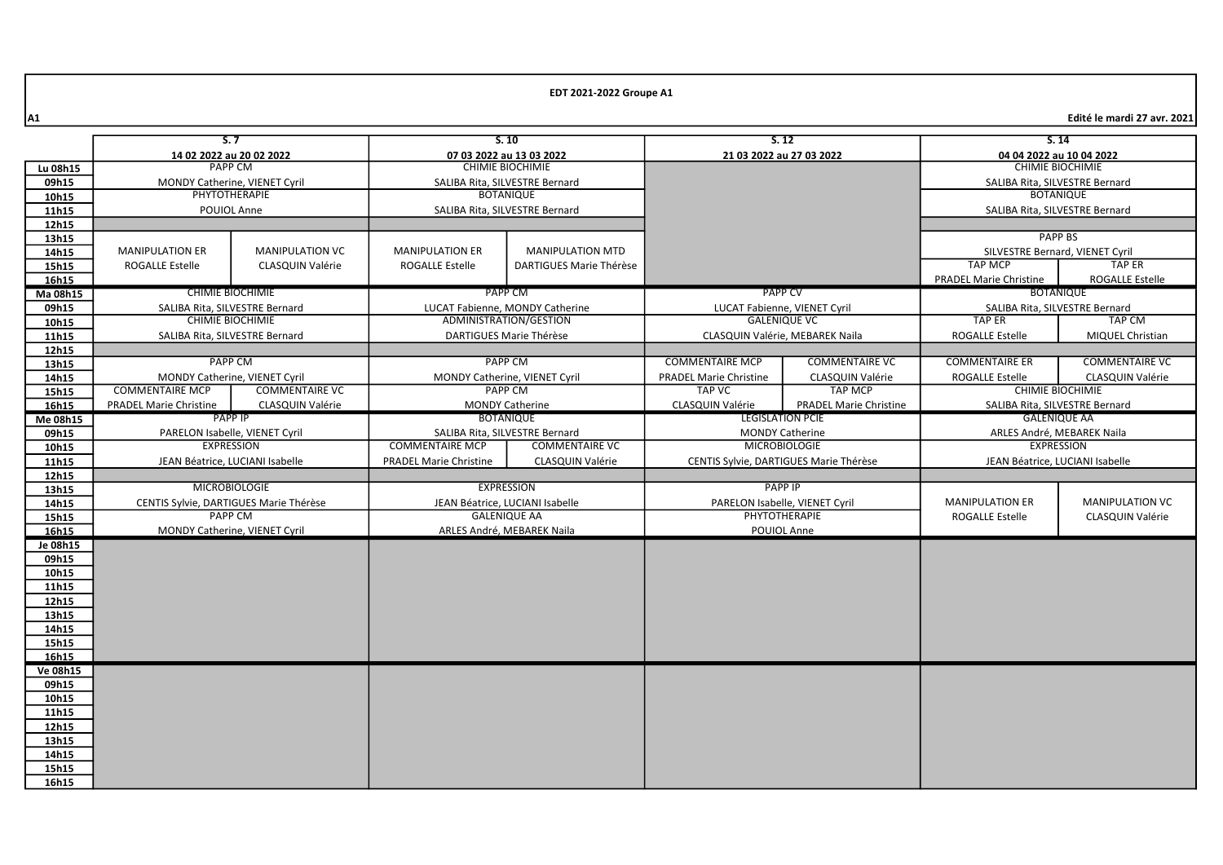|                | S.7                                                       |                               |                                                                         | S.10                          |                                                     | S.12                            |                                                    | S.14                            |
|----------------|-----------------------------------------------------------|-------------------------------|-------------------------------------------------------------------------|-------------------------------|-----------------------------------------------------|---------------------------------|----------------------------------------------------|---------------------------------|
|                | 14 02 2022 au 20 02 2022                                  |                               | 07 03 2022 au 13 03 2022                                                |                               | 21 03 2022 au 27 03 2022                            |                                 | 04 04 2022 au 10 04 2022                           |                                 |
| Lu 08h15       | <b>PAPP CM</b>                                            |                               | <b>CHIMIE BIOCHIMIE</b>                                                 |                               |                                                     |                                 |                                                    | <b>CHIMIE BIOCHIMIE</b>         |
| 09h15          | MONDY Catherine, VIENET Cyril                             |                               | SALIBA Rita, SILVESTRE Bernard                                          |                               |                                                     |                                 |                                                    | SALIBA Rita, SILVESTRE Bernard  |
| 10h15          | PHYTOTHERAPIE                                             |                               | <b>BOTANIQUE</b>                                                        |                               |                                                     |                                 |                                                    | <b>BOTANIQUE</b>                |
| 11h15          | POUIOL Anne                                               |                               | SALIBA Rita, SILVESTRE Bernard                                          |                               |                                                     |                                 |                                                    | SALIBA Rita, SILVESTRE Bernard  |
| 12h15          |                                                           |                               |                                                                         |                               |                                                     |                                 |                                                    |                                 |
| 13h15          |                                                           |                               |                                                                         |                               |                                                     |                                 |                                                    | <b>PAPP BS</b>                  |
| 14h15          | <b>MANIPULATION ER</b>                                    | <b>MANIPULATION VC</b>        | <b>MANIPULATION ER</b>                                                  | <b>MANIPULATION MTD</b>       |                                                     |                                 |                                                    | SILVESTRE Bernard, VIENET Cyril |
| 15h15          | <b>ROGALLE Estelle</b>                                    | <b>CLASQUIN Valérie</b>       | <b>ROGALLE Estelle</b>                                                  | DARTIGUES Marie Thérèse       |                                                     |                                 | <b>TAP MCP</b>                                     | <b>TAP ER</b>                   |
| 16h15          | <b>CHIMIE BIOCHIMIE</b>                                   |                               |                                                                         |                               |                                                     |                                 | <b>PRADEL Marie Christine</b>                      | <b>ROGALLE Estelle</b>          |
| Ma 08h15       |                                                           |                               | PAPP CM                                                                 |                               | <b>PAPP CV</b>                                      |                                 | <b>BOTANIQUE</b><br>SALIBA Rita, SILVESTRE Bernard |                                 |
| 09h15          | SALIBA Rita, SILVESTRE Bernard<br><b>CHIMIE BIOCHIMIE</b> |                               | LUCAT Fabienne, MONDY Catherine<br>ADMINISTRATION/GESTION               |                               | LUCAT Fabienne, VIENET Cyril<br><b>GALENIQUE VC</b> |                                 | <b>TAP ER</b>                                      | <b>TAP CM</b>                   |
| 10h15          | SALIBA Rita, SILVESTRE Bernard                            |                               |                                                                         | DARTIGUES Marie Thérèse       |                                                     | CLASQUIN Valérie, MEBAREK Naila | <b>ROGALLE Estelle</b>                             | MIQUEL Christian                |
| 11h15<br>12h15 |                                                           |                               |                                                                         |                               |                                                     |                                 |                                                    |                                 |
| 13h15          | <b>PAPP CM</b>                                            |                               |                                                                         | <b>PAPP CM</b>                | <b>COMMENTAIRE MCP</b>                              | <b>COMMENTAIRE VC</b>           | <b>COMMENTAIRE ER</b>                              | <b>COMMENTAIRE VC</b>           |
| 14h15          |                                                           | MONDY Catherine, VIENET Cyril |                                                                         | MONDY Catherine, VIENET Cyril | <b>PRADEL Marie Christine</b>                       | CLASQUIN Valérie                | <b>ROGALLE Estelle</b>                             | <b>CLASQUIN Valérie</b>         |
| 15h15          | <b>COMMENTAIRE MCP</b>                                    | <b>COMMENTAIRE VC</b>         |                                                                         | <b>PAPP CM</b>                | <b>TAP VC</b>                                       | <b>TAP MCP</b>                  |                                                    | <b>CHIMIE BIOCHIMIE</b>         |
| 16h15          | <b>PRADEL Marie Christine</b>                             | CLASQUIN Valérie              |                                                                         | <b>MONDY Catherine</b>        | CLASQUIN Valérie                                    | <b>PRADEL Marie Christine</b>   |                                                    | SALIBA Rita, SILVESTRE Bernard  |
| Me 08h15       | <b>PAPP IP</b>                                            |                               | <b>BOTANIQUE</b>                                                        |                               |                                                     | <b>LEGISLATION PCIE</b>         | <b>GALENIQUE AA</b>                                |                                 |
| 09h15          | PARELON Isabelle, VIENET Cyril                            |                               | SALIBA Rita, SILVESTRE Bernard                                          |                               | <b>MONDY Catherine</b>                              |                                 | ARLES André, MEBAREK Naila                         |                                 |
| 10h15          | <b>EXPRESSION</b>                                         |                               | <b>COMMENTAIRE VC</b><br><b>COMMENTAIRE MCP</b><br><b>MICROBIOLOGIE</b> |                               |                                                     | <b>EXPRESSION</b>               |                                                    |                                 |
| 11h15          | JEAN Béatrice, LUCIANI Isabelle                           |                               | <b>PRADEL Marie Christine</b>                                           | <b>CLASQUIN Valérie</b>       | CENTIS Sylvie, DARTIGUES Marie Thérèse              |                                 | JEAN Béatrice, LUCIANI Isabelle                    |                                 |
| 12h15          |                                                           |                               |                                                                         |                               |                                                     |                                 |                                                    |                                 |
| 13h15          | <b>MICROBIOLOGIE</b>                                      |                               | <b>EXPRESSION</b>                                                       |                               |                                                     | <b>PAPP IP</b>                  |                                                    |                                 |
| 14h15          | CENTIS Sylvie, DARTIGUES Marie Thérèse                    |                               | JEAN Béatrice, LUCIANI Isabelle                                         |                               | PARELON Isabelle, VIENET Cyril                      |                                 | <b>MANIPULATION ER</b>                             | <b>MANIPULATION VC</b>          |
| 15h15          | <b>PAPP CM</b>                                            |                               | <b>GALENIQUE AA</b>                                                     |                               | PHYTOTHERAPIE                                       |                                 | <b>ROGALLE Estelle</b>                             | CLASQUIN Valérie                |
| 16h15          |                                                           | MONDY Catherine, VIENET Cyril | ARLES André, MEBAREK Naila                                              |                               | POUIOL Anne                                         |                                 |                                                    |                                 |
| Je 08h15       |                                                           |                               |                                                                         |                               |                                                     |                                 |                                                    |                                 |
| 09h15          |                                                           |                               |                                                                         |                               |                                                     |                                 |                                                    |                                 |
| 10h15<br>11h15 |                                                           |                               |                                                                         |                               |                                                     |                                 |                                                    |                                 |
| 12h15          |                                                           |                               |                                                                         |                               |                                                     |                                 |                                                    |                                 |
| 13h15          |                                                           |                               |                                                                         |                               |                                                     |                                 |                                                    |                                 |
| 14h15          |                                                           |                               |                                                                         |                               |                                                     |                                 |                                                    |                                 |
| 15h15          |                                                           |                               |                                                                         |                               |                                                     |                                 |                                                    |                                 |
| 16h15          |                                                           |                               |                                                                         |                               |                                                     |                                 |                                                    |                                 |
| Ve 08h15       |                                                           |                               |                                                                         |                               |                                                     |                                 |                                                    |                                 |
| 09h15          |                                                           |                               |                                                                         |                               |                                                     |                                 |                                                    |                                 |
| 10h15          |                                                           |                               |                                                                         |                               |                                                     |                                 |                                                    |                                 |
| 11h15          |                                                           |                               |                                                                         |                               |                                                     |                                 |                                                    |                                 |
| 12h15          |                                                           |                               |                                                                         |                               |                                                     |                                 |                                                    |                                 |
| 13h15          |                                                           |                               |                                                                         |                               |                                                     |                                 |                                                    |                                 |
| 14h15          |                                                           |                               |                                                                         |                               |                                                     |                                 |                                                    |                                 |
| 15h15          |                                                           |                               |                                                                         |                               |                                                     |                                 |                                                    |                                 |
| 16h15          |                                                           |                               |                                                                         |                               |                                                     |                                 |                                                    |                                 |